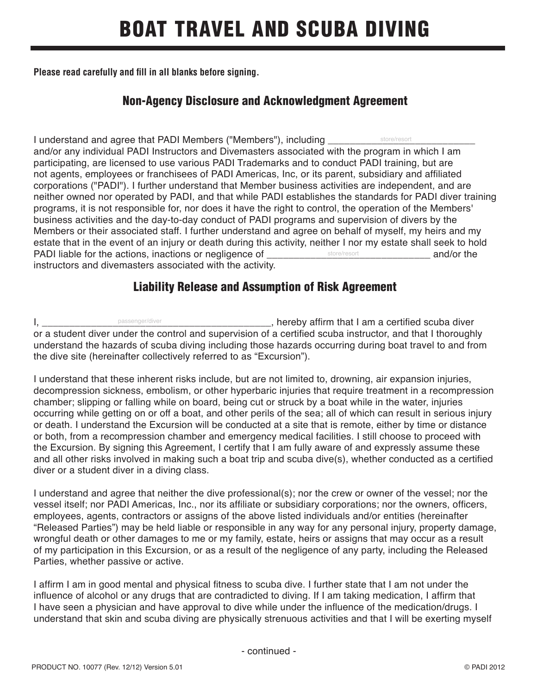# BOAT TRAVEL AND SCUBA DIVING

**Please read carefully and fill in all blanks before signing.**

### Non-Agency Disclosure and Acknowledgment Agreement

I understand and agree that PADI Members ("Members"), including \_ and/or any individual PADI Instructors and Divemasters associated with the program in which I am participating, are licensed to use various PADI Trademarks and to conduct PADI training, but are not agents, employees or franchisees of PADI Americas, Inc, or its parent, subsidiary and affiliated corporations ("PADI"). I further understand that Member business activities are independent, and are neither owned nor operated by PADI, and that while PADI establishes the standards for PADI diver training programs, it is not responsible for, nor does it have the right to control, the operation of the Members' business activities and the day-to-day conduct of PADI programs and supervision of divers by the Members or their associated staff. I further understand and agree on behalf of myself, my heirs and my estate that in the event of an injury or death during this activity, neither I nor my estate shall seek to hold PADI liable for the actions, inactions or negligence of **Example 20** and/or the instructors and divemasters associated with the activity. store/resort store/resort

#### Liability Release and Assumption of Risk Agreement

I, \_\_\_\_\_\_\_\_\_\_\_\_\_\_\_\_\_\_\_\_\_\_\_\_\_\_\_\_\_\_\_\_\_\_\_\_\_\_\_\_\_\_, hereby affirm that I am a certified scuba diver or a student diver under the control and supervision of a certified scuba instructor, and that I thoroughly understand the hazards of scuba diving including those hazards occurring during boat travel to and from the dive site (hereinafter collectively referred to as "Excursion"). passenger/diver

I understand that these inherent risks include, but are not limited to, drowning, air expansion injuries, decompression sickness, embolism, or other hyperbaric injuries that require treatment in a recompression chamber; slipping or falling while on board, being cut or struck by a boat while in the water, injuries occurring while getting on or off a boat, and other perils of the sea; all of which can result in serious injury or death. I understand the Excursion will be conducted at a site that is remote, either by time or distance or both, from a recompression chamber and emergency medical facilities. I still choose to proceed with the Excursion. By signing this Agreement, I certify that I am fully aware of and expressly assume these and all other risks involved in making such a boat trip and scuba dive(s), whether conducted as a certified diver or a student diver in a diving class.

I understand and agree that neither the dive professional(s); nor the crew or owner of the vessel; nor the vessel itself; nor PADI Americas, Inc., nor its affiliate or subsidiary corporations; nor the owners, officers, employees, agents, contractors or assigns of the above listed individuals and/or entities (hereinafter "Released Parties") may be held liable or responsible in any way for any personal injury, property damage, wrongful death or other damages to me or my family, estate, heirs or assigns that may occur as a result of my participation in this Excursion, or as a result of the negligence of any party, including the Released Parties, whether passive or active.

I affirm I am in good mental and physical fitness to scuba dive. I further state that I am not under the influence of alcohol or any drugs that are contradicted to diving. If I am taking medication, I affirm that I have seen a physician and have approval to dive while under the influence of the medication/drugs. I understand that skin and scuba diving are physically strenuous activities and that I will be exerting myself